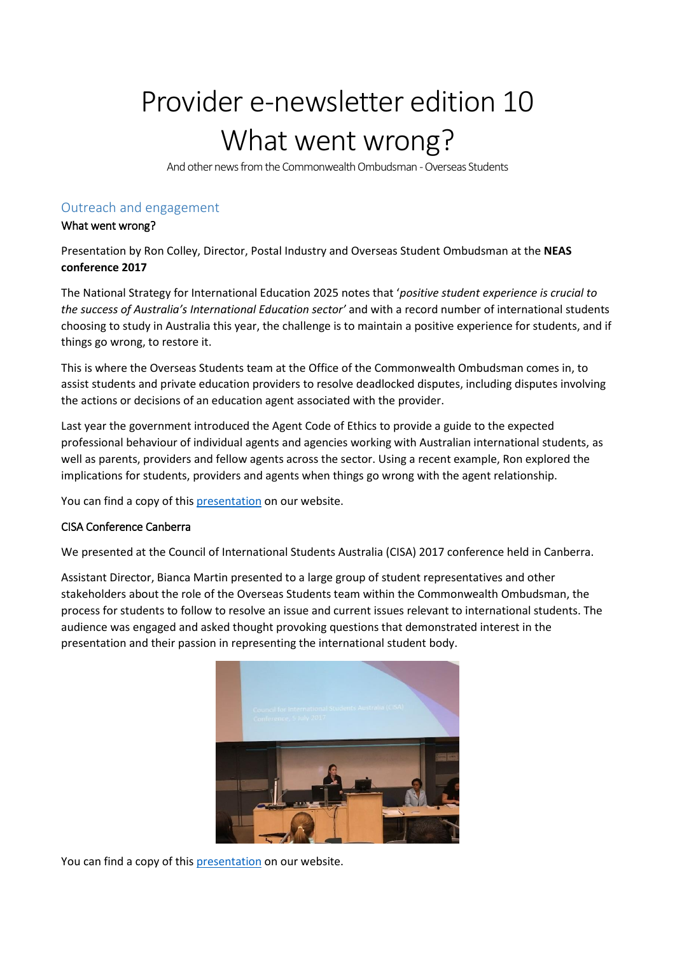# Provider e-newsletter edition 10 What went wrong?

And other news from the Commonwealth Ombudsman - Overseas Students

# Outreach and engagement

#### What went wrong?

Presentation by Ron Colley, Director, Postal Industry and Overseas Student Ombudsman at the **NEAS conference 2017**

The National Strategy for International Education 2025 notes that '*positive student experience is crucial to the success of Australia's International Education sector'* and with a record number of international students choosing to study in Australia this year, the challenge is to maintain a positive experience for students, and if things go wrong, to restore it.

This is where the Overseas Students team at the Office of the Commonwealth Ombudsman comes in, to assist students and private education providers to resolve deadlocked disputes, including disputes involving the actions or decisions of an education agent associated with the provider.

Last year the government introduced the Agent Code of Ethics to provide a guide to the expected professional behaviour of individual agents and agencies working with Australian international students, as well as parents, providers and fellow agents across the sector. Using a recent example, Ron explored the implications for students, providers and agents when things go wrong with the agent relationship.

You can find a copy of thi[s presentation](http://www.ombudsman.gov.au/news-and-media/speeches-and-presentations) on our website.

#### CISA Conference Canberra

We presented at the Council of International Students Australia (CISA) 2017 conference held in Canberra.

Assistant Director, Bianca Martin presented to a large group of student representatives and other stakeholders about the role of the Overseas Students team within the Commonwealth Ombudsman, the process for students to follow to resolve an issue and current issues relevant to international students. The audience was engaged and asked thought provoking questions that demonstrated interest in the presentation and their passion in representing the international student body.



You can find a copy of this [presentation](http://www.ombudsman.gov.au/news-and-media/speeches-and-presentations) on our website.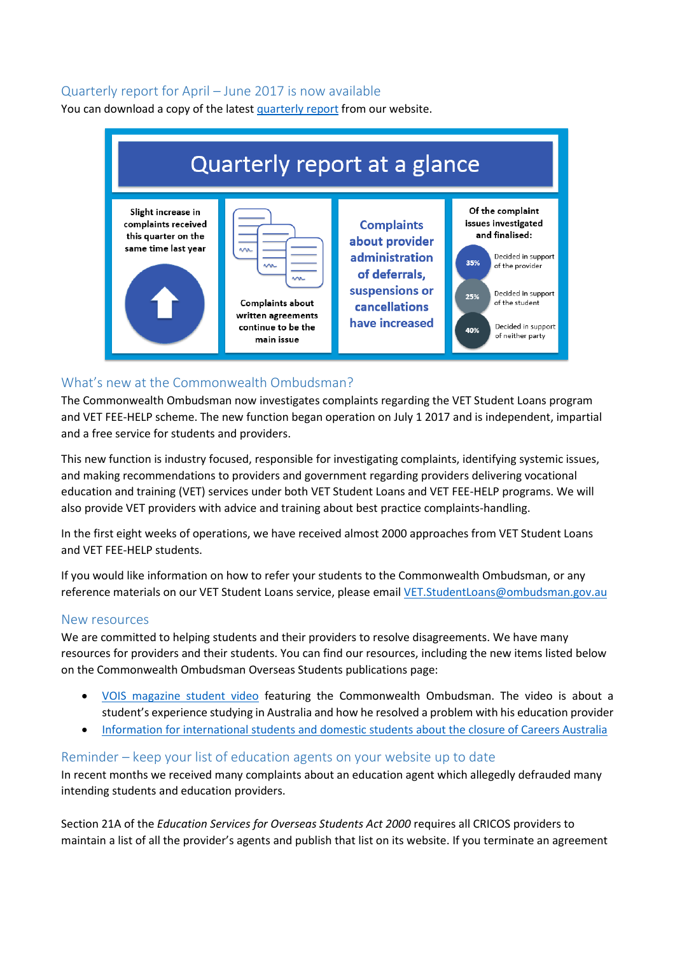## Quarterly report for April – June 2017 is now available

You can download a copy of the lates[t quarterly report](http://www.ombudsman.gov.au/publications/oso-publications/reports/oso-quarterly-reports) from our website.



## What's new at the Commonwealth Ombudsman?

The Commonwealth Ombudsman now investigates complaints regarding the VET Student Loans program and VET FEE-HELP scheme. The new function began operation on July 1 2017 and is independent, impartial and a free service for students and providers.

This new function is industry focused, responsible for investigating complaints, identifying systemic issues, and making recommendations to providers and government regarding providers delivering vocational education and training (VET) services under both VET Student Loans and VET FEE-HELP programs. We will also provide VET providers with advice and training about best practice complaints-handling.

In the first eight weeks of operations, we have received almost 2000 approaches from VET Student Loans and VET FEE-HELP students.

If you would like information on how to refer your students to the Commonwealth Ombudsman, or any reference materials on our VET Student Loans service, please email [VET.StudentLoans@ombudsman.gov.au](mailto:VET.StudentLoans@ombudsman.gov.au)

#### New resources

We are committed to helping students and their providers to resolve disagreements. We have many resources for providers and their students. You can find our resources, including the new items listed below on the Commonwealth Ombudsman [Overseas Students publications](http://www.ombudsman.gov.au/publications/oso-publications) page:

- [VOIS magazine student video](https://www.facebook.com/voismagazinesydney/videos/1417215891698772/) featuring the Commonwealth Ombudsman. The video is about a student's experience studying in Australia and how he resolved a problem with his education provider
- [Information for international students and domestic students about the closure of Careers Australia](http://www.ombudsman.gov.au/news-and-media/news)

#### Reminder – keep your list of education agents on your website up to date

In recent months we received many complaints about an education agent which allegedly defrauded many intending students and education providers.

Section 21A of the *Education Services for Overseas Students Act 2000* requires all CRICOS providers to maintain a list of all the provider's agents and publish that list on its website. If you terminate an agreement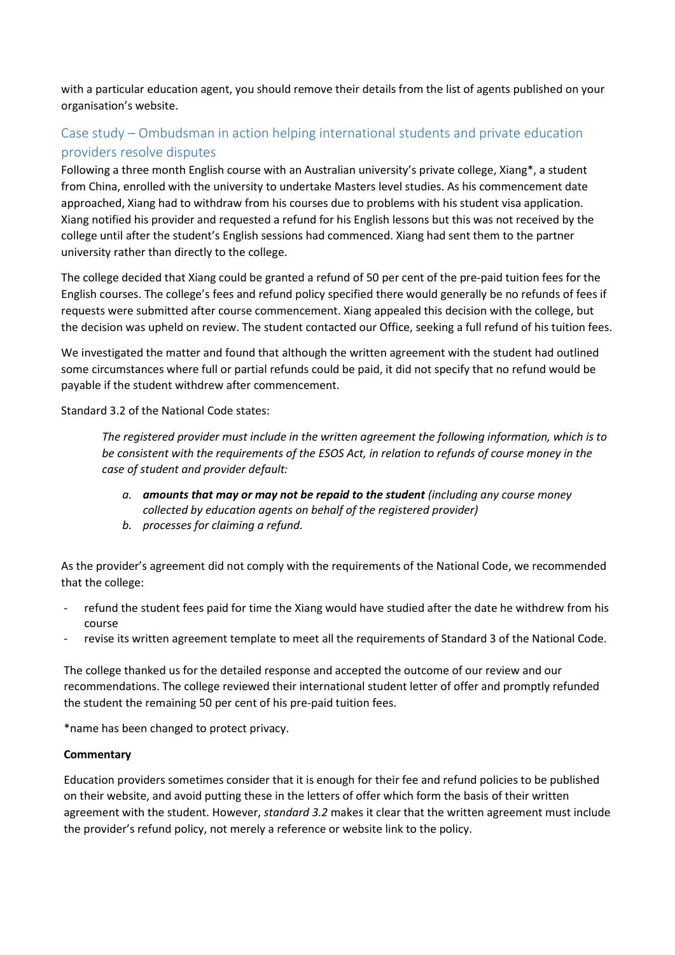with a particular education agent, you should remove their details from the list of agents published on your organisation's website.

# Case study – Ombudsman in action helping international students and private education providers resolve disputes

Following a three month English course with an Australian university's private college, Xiang\*, a student from China, enrolled with the university to undertake Masters level studies. As his commencement date approached, Xiang had to withdraw from his courses due to problems with his student visa application. Xiang notified his provider and requested a refund for his English lessons but this was not received by the college until after the student's English sessions had commenced. Xiang had sent them to the partner university rather than directly to the college.

The college decided that Xiang could be granted a refund of 50 per cent of the pre-paid tuition fees for the English courses. The college's fees and refund policy specified there would generally be no refunds of fees if requests were submitted after course commencement. Xiang appealed this decision with the college, but the decision was upheld on review. The student contacted our Office, seeking a full refund of his tuition fees.

We investigated the matter and found that although the written agreement with the student had outlined some circumstances where full or partial refunds could be paid, it did not specify that no refund would be payable if the student withdrew after commencement.

Standard 3.2 of the National Code states:

*The registered provider must include in the written agreement the following information, which is to be consistent with the requirements of the ESOS Act, in relation to refunds of course money in the case of student and provider default:*

- *a. amounts that may or may not be repaid to the student (including any course money collected by education agents on behalf of the registered provider)*
- *b. processes for claiming a refund.*

As the provider's agreement did not comply with the requirements of the National Code, we recommended that the college:

- refund the student fees paid for time the Xiang would have studied after the date he withdrew from his course
- revise its written agreement template to meet all the requirements of Standard 3 of the National Code.

The college thanked us for the detailed response and accepted the outcome of our review and our recommendations. The college reviewed their international student letter of offer and promptly refunded the student the remaining 50 per cent of his pre-paid tuition fees.

\*name has been changed to protect privacy.

#### **Commentary**

Education providers sometimes consider that it is enough for their fee and refund policies to be published on their website, and avoid putting these in the letters of offer which form the basis of their written agreement with the student. However, *standard 3.2* makes it clear that the written agreement must include the provider's refund policy, not merely a reference or website link to the policy.